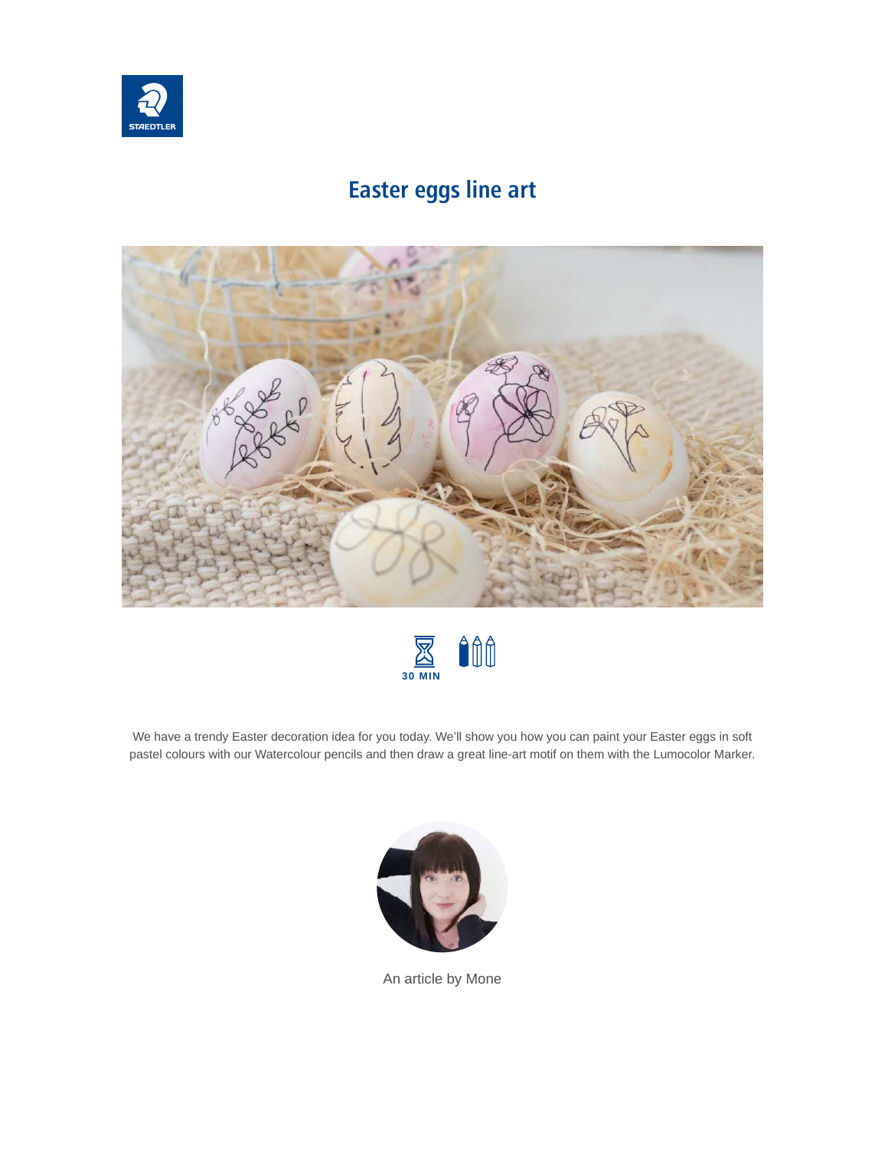

## **Easter eggs line art**





We have a trendy Easter decoration idea for you today. We'll show you how you can paint your Easter eggs in soft pastel colours with our Watercolour pencils and then draw a great line-art motif on them with the Lumocolor Marker.



An article by Mone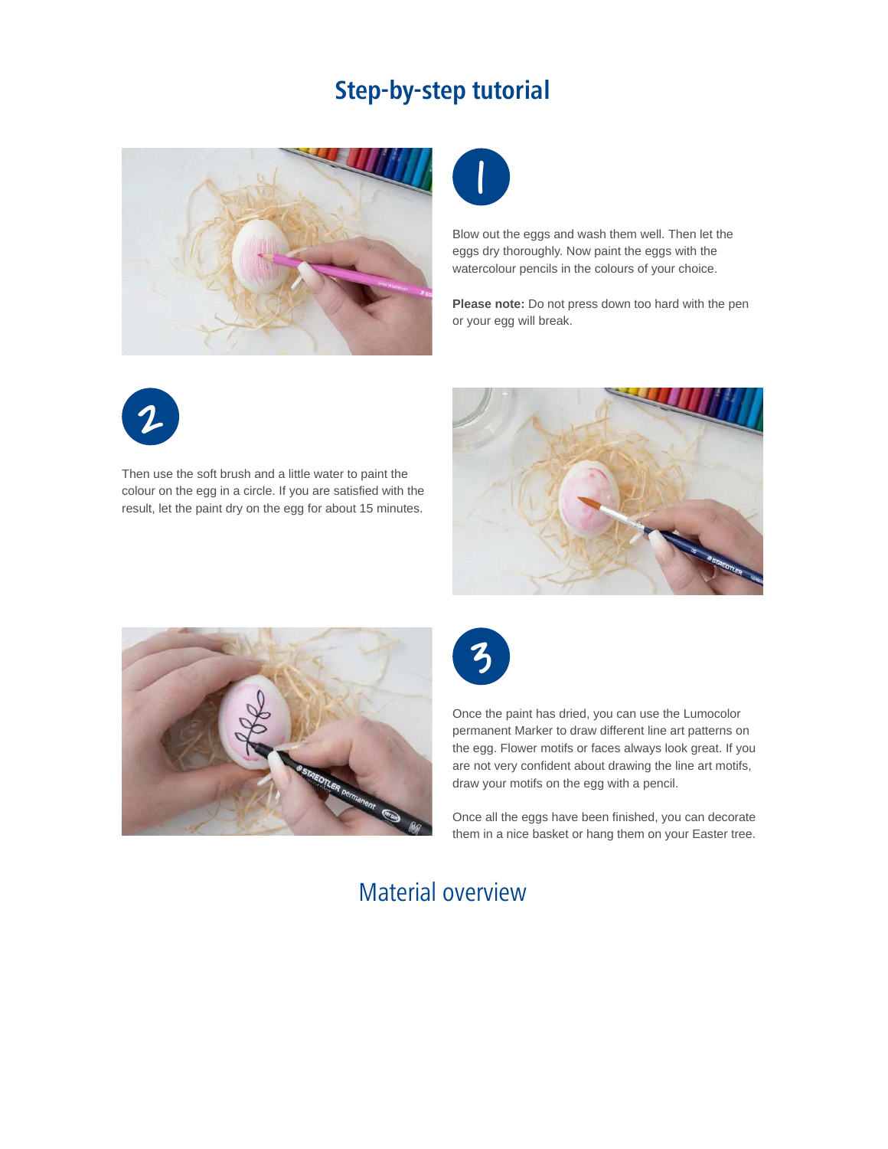#### **Step-by-step tutorial**





Blow out the eggs and wash them well. Then let the eggs dry thoroughly. Now paint the eggs with the watercolour pencils in the colours of your choice.

**Please note:** Do not press down too hard with the pen or your egg will break.



Then use the soft brush and a little water to paint the colour on the egg in a circle. If you are satisfied with the result, let the paint dry on the egg for about 15 minutes.







Once the paint has dried, you can use the Lumocolor permanent Marker to draw different line art patterns on the egg. Flower motifs or faces always look great. If you are not very confident about drawing the line art motifs, draw your motifs on the egg with a pencil.

Once all the eggs have been finished, you can decorate them in a nice basket or hang them on your Easter tree.

## Material overview